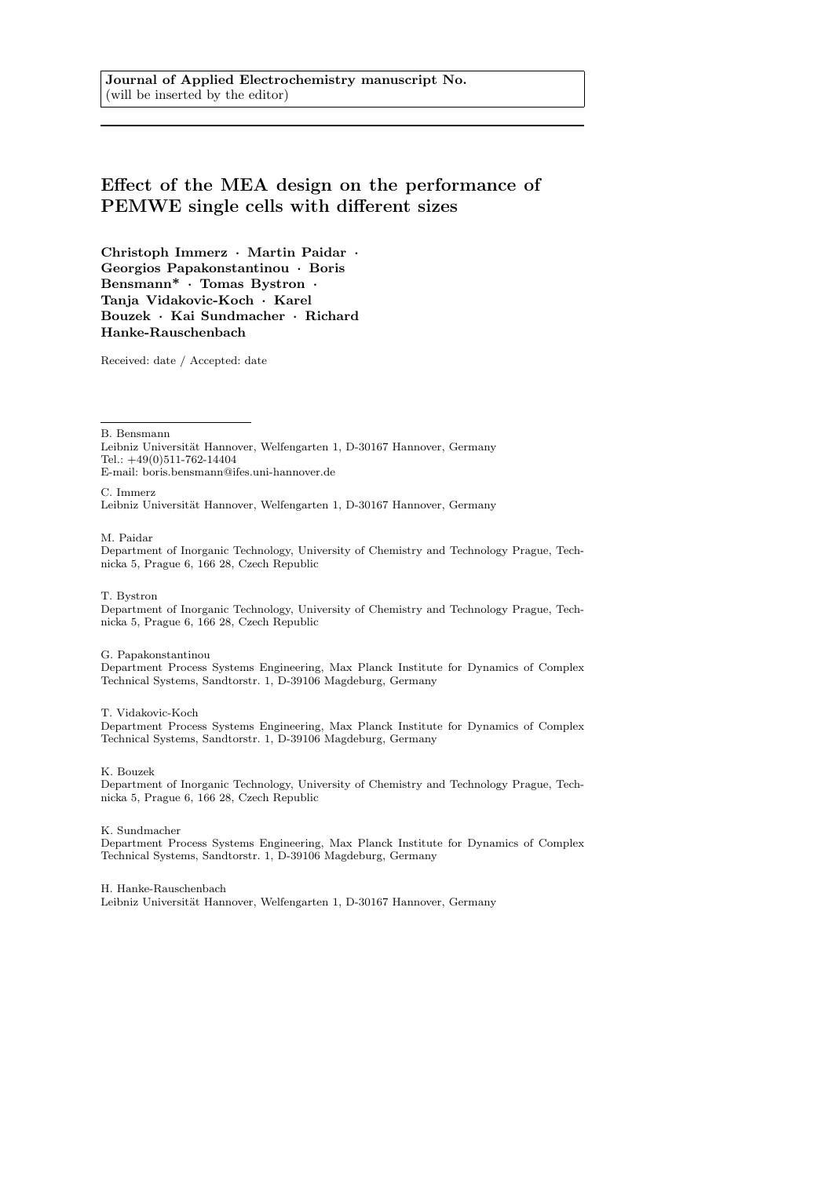Journal of Applied Electrochemistry manuscript No. (will be inserted by the editor)

# Effect of the MEA design on the performance of PEMWE single cells with different sizes

Christoph Immerz · Martin Paidar · Georgios Papakonstantinou · Boris Bensmann\* · Tomas Bystron · Tanja Vidakovic-Koch · Karel Bouzek · Kai Sundmacher · Richard Hanke-Rauschenbach

Received: date / Accepted: date

B. Bensmann

Leibniz Universität Hannover, Welfengarten 1, D-30167 Hannover, Germany Tel.: +49(0)511-762-14404 E-mail: boris.bensmann@ifes.uni-hannover.de

C. Immerz Leibniz Universität Hannover, Welfengarten 1, D-30167 Hannover, Germany

M. Paidar

Department of Inorganic Technology, University of Chemistry and Technology Prague, Technicka 5, Prague 6, 166 28, Czech Republic

T. Bystron

Department of Inorganic Technology, University of Chemistry and Technology Prague, Technicka 5, Prague 6, 166 28, Czech Republic

#### G. Papakonstantinou

Department Process Systems Engineering, Max Planck Institute for Dynamics of Complex Technical Systems, Sandtorstr. 1, D-39106 Magdeburg, Germany

#### T. Vidakovic-Koch

Department Process Systems Engineering, Max Planck Institute for Dynamics of Complex Technical Systems, Sandtorstr. 1, D-39106 Magdeburg, Germany

K. Bouzek

Department of Inorganic Technology, University of Chemistry and Technology Prague, Technicka 5, Prague 6, 166 28, Czech Republic

K. Sundmacher

Department Process Systems Engineering, Max Planck Institute for Dynamics of Complex Technical Systems, Sandtorstr. 1, D-39106 Magdeburg, Germany

H. Hanke-Rauschenbach Leibniz Universität Hannover, Welfengarten 1, D-30167 Hannover, Germany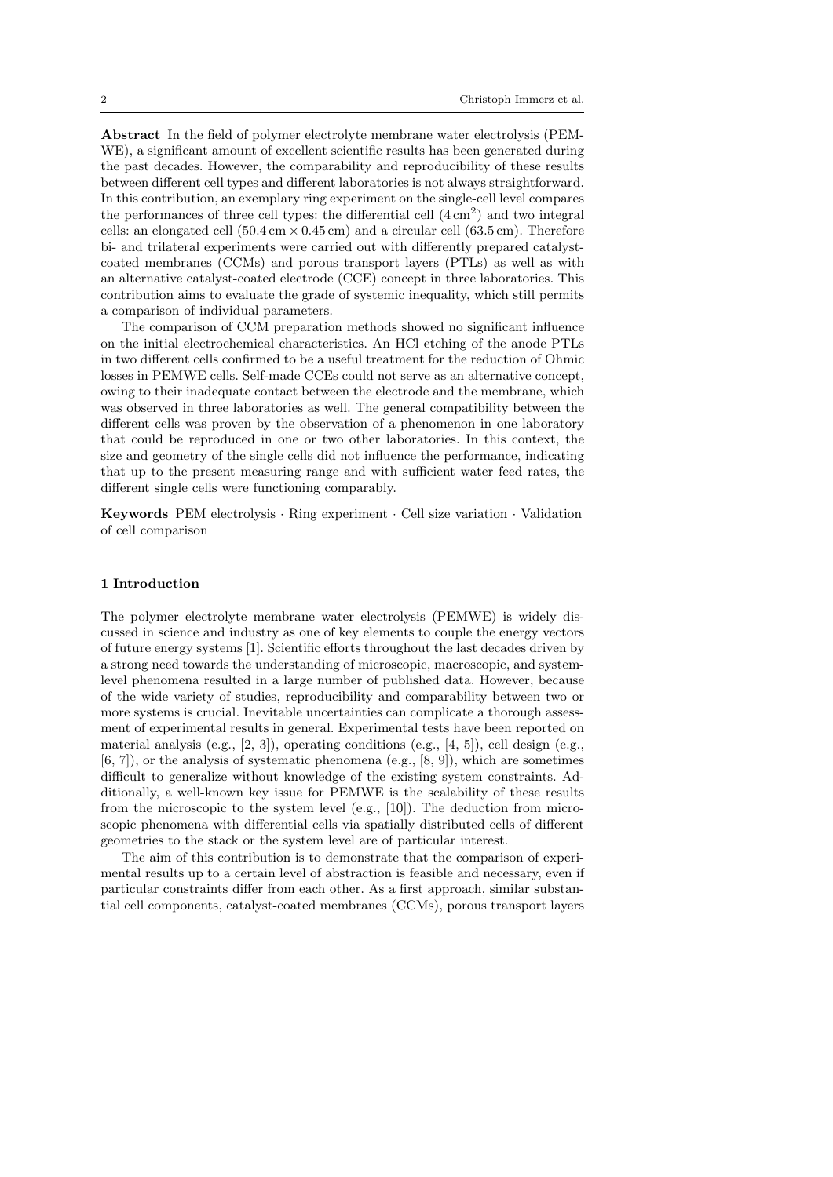Abstract In the field of polymer electrolyte membrane water electrolysis (PEM-WE), a significant amount of excellent scientific results has been generated during the past decades. However, the comparability and reproducibility of these results between different cell types and different laboratories is not always straightforward. In this contribution, an exemplary ring experiment on the single-cell level compares the performances of three cell types: the differential cell  $(4 \text{ cm}^2)$  and two integral cells: an elongated cell  $(50.4 \text{ cm} \times 0.45 \text{ cm})$  and a circular cell  $(63.5 \text{ cm})$ . Therefore bi- and trilateral experiments were carried out with differently prepared catalystcoated membranes (CCMs) and porous transport layers (PTLs) as well as with an alternative catalyst-coated electrode (CCE) concept in three laboratories. This contribution aims to evaluate the grade of systemic inequality, which still permits a comparison of individual parameters.

The comparison of CCM preparation methods showed no significant influence on the initial electrochemical characteristics. An HCl etching of the anode PTLs in two different cells confirmed to be a useful treatment for the reduction of Ohmic losses in PEMWE cells. Self-made CCEs could not serve as an alternative concept, owing to their inadequate contact between the electrode and the membrane, which was observed in three laboratories as well. The general compatibility between the different cells was proven by the observation of a phenomenon in one laboratory that could be reproduced in one or two other laboratories. In this context, the size and geometry of the single cells did not influence the performance, indicating that up to the present measuring range and with sufficient water feed rates, the different single cells were functioning comparably.

Keywords PEM electrolysis · Ring experiment · Cell size variation · Validation of cell comparison

#### 1 Introduction

The polymer electrolyte membrane water electrolysis (PEMWE) is widely discussed in science and industry as one of key elements to couple the energy vectors of future energy systems [1]. Scientific efforts throughout the last decades driven by a strong need towards the understanding of microscopic, macroscopic, and systemlevel phenomena resulted in a large number of published data. However, because of the wide variety of studies, reproducibility and comparability between two or more systems is crucial. Inevitable uncertainties can complicate a thorough assessment of experimental results in general. Experimental tests have been reported on material analysis (e.g.,  $[2, 3]$ ), operating conditions (e.g.,  $[4, 5]$ ), cell design (e.g.,  $[6, 7]$ , or the analysis of systematic phenomena  $(e.g., [8, 9])$ , which are sometimes difficult to generalize without knowledge of the existing system constraints. Additionally, a well-known key issue for PEMWE is the scalability of these results from the microscopic to the system level (e.g., [10]). The deduction from microscopic phenomena with differential cells via spatially distributed cells of different geometries to the stack or the system level are of particular interest.

The aim of this contribution is to demonstrate that the comparison of experimental results up to a certain level of abstraction is feasible and necessary, even if particular constraints differ from each other. As a first approach, similar substantial cell components, catalyst-coated membranes (CCMs), porous transport layers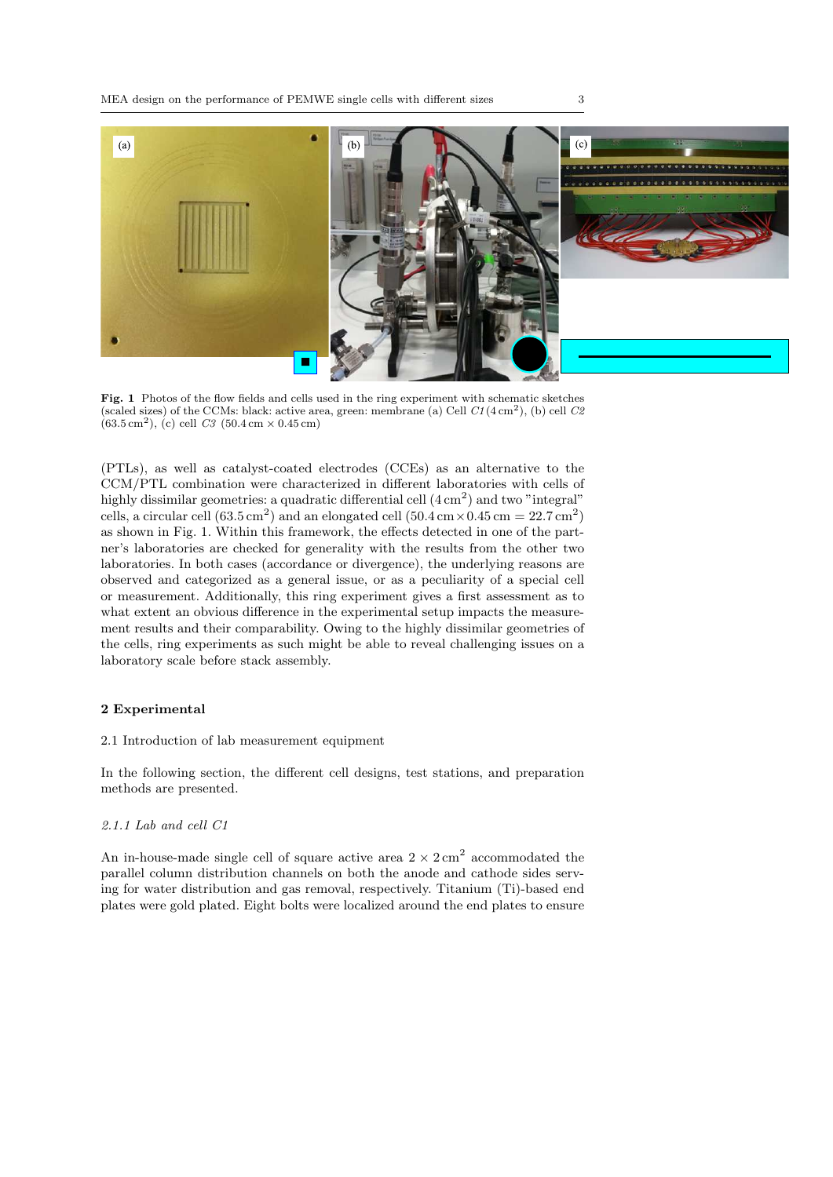

Fig. 1 Photos of the flow fields and cells used in the ring experiment with schematic sketches (scaled sizes) of the CCMs: black: active area, green: membrane (a) Cell  $Cl(4 \text{ cm}^2)$ , (b) cell  $C\ell$  $(63.5 \text{ cm}^2)$ , (c) cell C3 (50.4 cm  $\times$  0.45 cm)

(PTLs), as well as catalyst-coated electrodes (CCEs) as an alternative to the CCM/PTL combination were characterized in different laboratories with cells of highly dissimilar geometries: a quadratic differential cell  $(4 \text{ cm}^2)$  and two "integral" cells, a circular cell  $(63.5 \text{ cm}^2)$  and an elongated cell  $(50.4 \text{ cm} \times 0.45 \text{ cm} = 22.7 \text{ cm}^2)$ as shown in Fig. 1. Within this framework, the effects detected in one of the partner's laboratories are checked for generality with the results from the other two laboratories. In both cases (accordance or divergence), the underlying reasons are observed and categorized as a general issue, or as a peculiarity of a special cell or measurement. Additionally, this ring experiment gives a first assessment as to what extent an obvious difference in the experimental setup impacts the measurement results and their comparability. Owing to the highly dissimilar geometries of the cells, ring experiments as such might be able to reveal challenging issues on a laboratory scale before stack assembly.

# 2 Experimental

2.1 Introduction of lab measurement equipment

In the following section, the different cell designs, test stations, and preparation methods are presented.

# 2.1.1 Lab and cell C1

An in-house-made single cell of square active area  $2 \times 2 \text{ cm}^2$  accommodated the parallel column distribution channels on both the anode and cathode sides serving for water distribution and gas removal, respectively. Titanium (Ti)-based end plates were gold plated. Eight bolts were localized around the end plates to ensure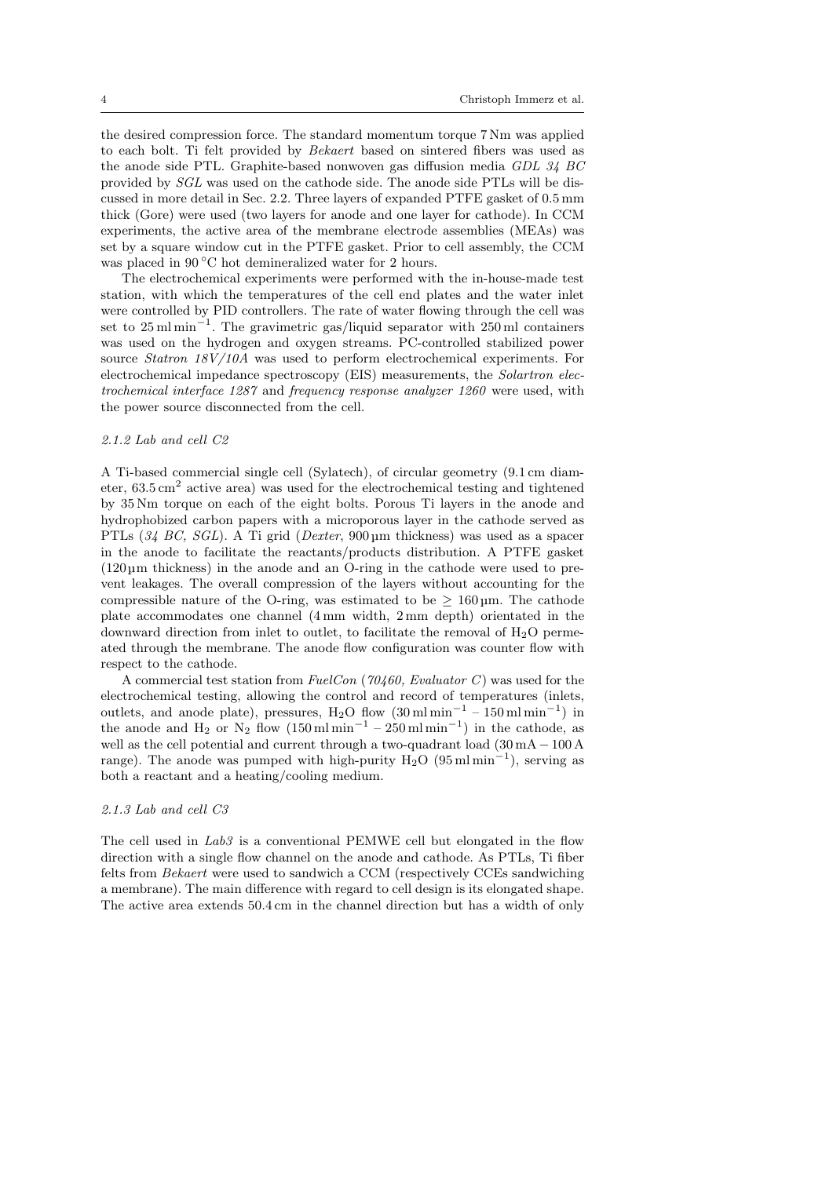the desired compression force. The standard momentum torque 7 Nm was applied to each bolt. Ti felt provided by Bekaert based on sintered fibers was used as the anode side PTL. Graphite-based nonwoven gas diffusion media GDL 34 BC provided by SGL was used on the cathode side. The anode side PTLs will be discussed in more detail in Sec. 2.2. Three layers of expanded PTFE gasket of 0.5 mm thick (Gore) were used (two layers for anode and one layer for cathode). In CCM experiments, the active area of the membrane electrode assemblies (MEAs) was set by a square window cut in the PTFE gasket. Prior to cell assembly, the CCM was placed in 90 °C hot demineralized water for 2 hours.

The electrochemical experiments were performed with the in-house-made test station, with which the temperatures of the cell end plates and the water inlet were controlled by PID controllers. The rate of water flowing through the cell was set to 25 ml min<sup>-1</sup>. The gravimetric gas/liquid separator with 250 ml containers was used on the hydrogen and oxygen streams. PC-controlled stabilized power source Statron 18V/10A was used to perform electrochemical experiments. For electrochemical impedance spectroscopy (EIS) measurements, the Solartron electrochemical interface 1287 and frequency response analyzer 1260 were used, with the power source disconnected from the cell.

# 2.1.2 Lab and cell C2

A Ti-based commercial single cell (Sylatech), of circular geometry (9.1 cm diameter,  $63.5 \text{ cm}^2$  active area) was used for the electrochemical testing and tightened by 35 Nm torque on each of the eight bolts. Porous Ti layers in the anode and hydrophobized carbon papers with a microporous layer in the cathode served as PTLs (34 BC, SGL). A Ti grid (Dexter, 900 µm thickness) was used as a spacer in the anode to facilitate the reactants/products distribution. A PTFE gasket (120 µm thickness) in the anode and an O-ring in the cathode were used to prevent leakages. The overall compression of the layers without accounting for the compressible nature of the O-ring, was estimated to be  $\geq 160 \,\mu$ m. The cathode plate accommodates one channel (4 mm width, 2 mm depth) orientated in the downward direction from inlet to outlet, to facilitate the removal of  $H_2O$  permeated through the membrane. The anode flow configuration was counter flow with respect to the cathode.

A commercial test station from  $FuelCon$  (70460, Evaluator C) was used for the electrochemical testing, allowing the control and record of temperatures (inlets, outlets, and anode plate), pressures, H<sub>2</sub>O flow  $(30 \text{ ml min}^{-1} - 150 \text{ ml min}^{-1})$  in the anode and H<sub>2</sub> or N<sub>2</sub> flow  $(150 \text{ m1} \text{ min}^{-1} - 250 \text{ m1} \text{ min}^{-1})$  in the cathode, as well as the cell potential and current through a two-quadrant load (30 mA −100 A range). The anode was pumped with high-purity  $H_2O(95 \text{ ml min}^{-1})$ , serving as both a reactant and a heating/cooling medium.

# 2.1.3 Lab and cell C3

The cell used in Lab3 is a conventional PEMWE cell but elongated in the flow direction with a single flow channel on the anode and cathode. As PTLs, Ti fiber felts from Bekaert were used to sandwich a CCM (respectively CCEs sandwiching a membrane). The main difference with regard to cell design is its elongated shape. The active area extends 50.4 cm in the channel direction but has a width of only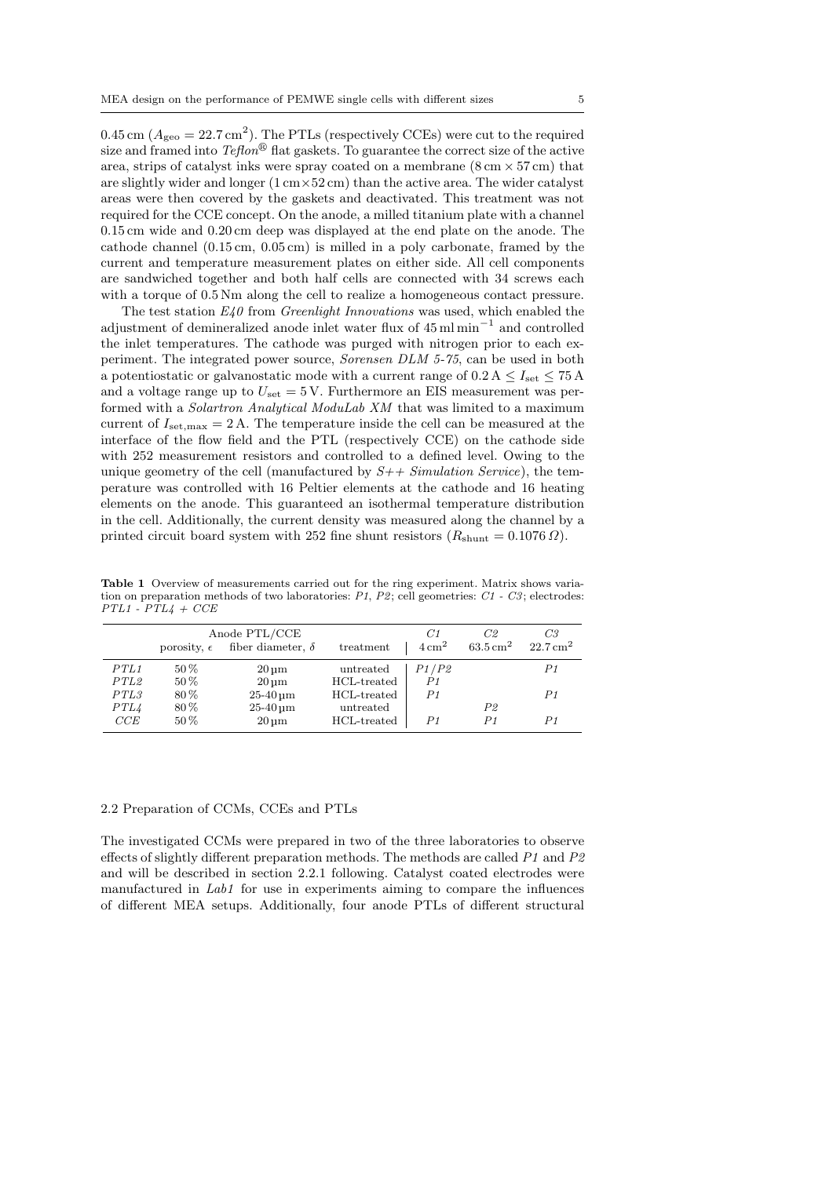0.45 cm  $(A_{\text{geo}} = 22.7 \text{ cm}^2)$ . The PTLs (respectively CCEs) were cut to the required size and framed into  $Teflon^{\circledR}$  flat gaskets. To guarantee the correct size of the active area, strips of catalyst inks were spray coated on a membrane  $(8 \text{ cm} \times 57 \text{ cm})$  that are slightly wider and longer  $(1 \text{ cm} \times 52 \text{ cm})$  than the active area. The wider catalyst areas were then covered by the gaskets and deactivated. This treatment was not required for the CCE concept. On the anode, a milled titanium plate with a channel 0.15 cm wide and 0.20 cm deep was displayed at the end plate on the anode. The cathode channel (0.15 cm, 0.05 cm) is milled in a poly carbonate, framed by the current and temperature measurement plates on either side. All cell components are sandwiched together and both half cells are connected with 34 screws each with a torque of  $0.5$  Nm along the cell to realize a homogeneous contact pressure.

The test station  $E_4$ 0 from *Greenlight Innovations* was used, which enabled the adjustment of demineralized anode inlet water flux of 45 ml min<sup>−</sup><sup>1</sup> and controlled the inlet temperatures. The cathode was purged with nitrogen prior to each experiment. The integrated power source, Sorensen DLM 5-75, can be used in both a potentiostatic or galvanostatic mode with a current range of  $0.2 \text{ A} \leq I_{\text{set}} \leq 75 \text{ A}$ and a voltage range up to  $U_{\text{set}} = 5$  V. Furthermore an EIS measurement was performed with a Solartron Analytical ModuLab XM that was limited to a maximum current of  $I_{\text{set,max}} = 2 \text{ A}$ . The temperature inside the cell can be measured at the interface of the flow field and the PTL (respectively CCE) on the cathode side with 252 measurement resistors and controlled to a defined level. Owing to the unique geometry of the cell (manufactured by  $S++ Simulation Service$ ), the temperature was controlled with 16 Peltier elements at the cathode and 16 heating elements on the anode. This guaranteed an isothermal temperature distribution in the cell. Additionally, the current density was measured along the channel by a printed circuit board system with 252 fine shunt resistors  $(R_{\text{shunt}} = 0.1076 \Omega)$ .

Table 1 Overview of measurements carried out for the ring experiment. Matrix shows variation on preparation methods of two laboratories:  $P1$ ,  $P2$ ; cell geometries:  $C1 - C3$ ; electrodes:  $PTL1 - PTL4 + CCE$ 

|      | porosity, $\epsilon$ | Anode PTL/CCE<br>fiber diameter, $\delta$ | treatment   | C1<br>$4 \,\mathrm{cm}^2$ | C2<br>$63.5\,\mathrm{cm^2}$ | C <sub>3</sub><br>$22.7 \,\mathrm{cm}^2$ |
|------|----------------------|-------------------------------------------|-------------|---------------------------|-----------------------------|------------------------------------------|
| PTL1 | $50\%$               | $20 \,\mathrm{\upmu m}$                   | untreated   | P1/P2                     |                             | P1                                       |
| PTL2 | $50\%$               | $20 \,\mathrm{\upmu m}$                   | HCL-treated | P1                        |                             |                                          |
| PTL3 | $80\%$               | $25-40 \,\mathrm{\upmu m}$                | HCL-treated | P <sub>1</sub>            |                             | P1                                       |
| PTL4 | $80\%$               | $25-40 \,\mathrm{\upmu m}$                | untreated   |                           | P <sub>2</sub>              |                                          |
| CCE  | $50\%$               | $20 \,\mathrm{\upmu m}$                   | HCL-treated | P1                        | P1                          | P1                                       |
|      |                      |                                           |             |                           |                             |                                          |

#### 2.2 Preparation of CCMs, CCEs and PTLs

The investigated CCMs were prepared in two of the three laboratories to observe effects of slightly different preparation methods. The methods are called  $P1$  and  $P2$ and will be described in section 2.2.1 following. Catalyst coated electrodes were manufactured in  $Lab1$  for use in experiments aiming to compare the influences of different MEA setups. Additionally, four anode PTLs of different structural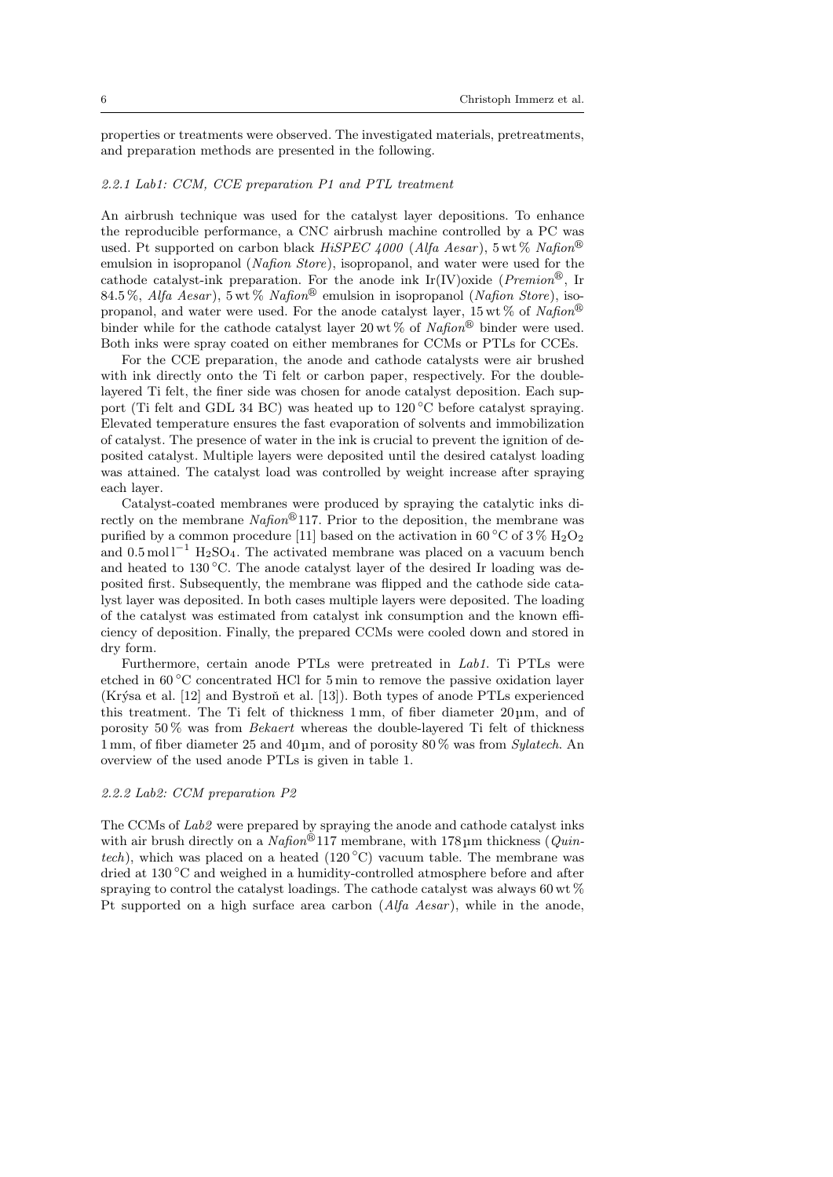properties or treatments were observed. The investigated materials, pretreatments, and preparation methods are presented in the following.

### 2.2.1 Lab1: CCM, CCE preparation P1 and PTL treatment

An airbrush technique was used for the catalyst layer depositions. To enhance the reproducible performance, a CNC airbrush machine controlled by a PC was used. Pt supported on carbon black  $HiSPEC \, 4000$  (Alfa Aesar), 5 wt % Nafion<sup>®</sup> emulsion in isopropanol (Nafion Store), isopropanol, and water were used for the cathode catalyst-ink preparation. For the anode ink Ir(IV)oxide ( $Premion^{\circledR}$ , Ir 84.5 %, Alfa Aesar), 5 wt % Nafion<sup>®</sup> emulsion in isopropanol (Nafion Store), isopropanol, and water were used. For the anode catalyst layer,  $15 \text{ wt } \%$  of  $Nafion^{\circledR}$ binder while for the cathode catalyst layer 20 wt % of Nafion<sup>®</sup> binder were used. Both inks were spray coated on either membranes for CCMs or PTLs for CCEs.

For the CCE preparation, the anode and cathode catalysts were air brushed with ink directly onto the Ti felt or carbon paper, respectively. For the doublelayered Ti felt, the finer side was chosen for anode catalyst deposition. Each support (Ti felt and GDL 34 BC) was heated up to 120 ◦C before catalyst spraying. Elevated temperature ensures the fast evaporation of solvents and immobilization of catalyst. The presence of water in the ink is crucial to prevent the ignition of deposited catalyst. Multiple layers were deposited until the desired catalyst loading was attained. The catalyst load was controlled by weight increase after spraying each layer.

Catalyst-coated membranes were produced by spraying the catalytic inks directly on the membrane  $Nafion^{\circledR}117$ . Prior to the deposition, the membrane was purified by a common procedure [11] based on the activation in 60 °C of  $3\%$   $\mathrm{H}_2\mathrm{O}_2$ and  $0.5 \text{ mol}^{-1}$  H<sub>2</sub>SO<sub>4</sub>. The activated membrane was placed on a vacuum bench and heated to  $130\text{ °C}$ . The anode catalyst layer of the desired Ir loading was deposited first. Subsequently, the membrane was flipped and the cathode side catalyst layer was deposited. In both cases multiple layers were deposited. The loading of the catalyst was estimated from catalyst ink consumption and the known efficiency of deposition. Finally, the prepared CCMs were cooled down and stored in dry form.

Furthermore, certain anode PTLs were pretreated in Lab1. Ti PTLs were etched in 60 ◦C concentrated HCl for 5 min to remove the passive oxidation layer (Krýsa et al.  $[12]$  and Bystroň et al.  $[13]$ ). Both types of anode PTLs experienced this treatment. The Ti felt of thickness 1 mm, of fiber diameter 20 µm, and of porosity 50 % was from Bekaert whereas the double-layered Ti felt of thickness 1 mm, of fiber diameter 25 and 40 µm, and of porosity 80 % was from Sylatech. An overview of the used anode PTLs is given in table 1.

# 2.2.2 Lab2: CCM preparation P2

The CCMs of Lab2 were prepared by spraying the anode and cathode catalyst inks with air brush directly on a  $Nafion^{\circledR}117$  membrane, with 178 µm thickness (*Quin*tech), which was placed on a heated (120 °C) vacuum table. The membrane was dried at 130 ◦C and weighed in a humidity-controlled atmosphere before and after spraying to control the catalyst loadings. The cathode catalyst was always 60 wt % Pt supported on a high surface area carbon  $(Alfa$  Aesar), while in the anode,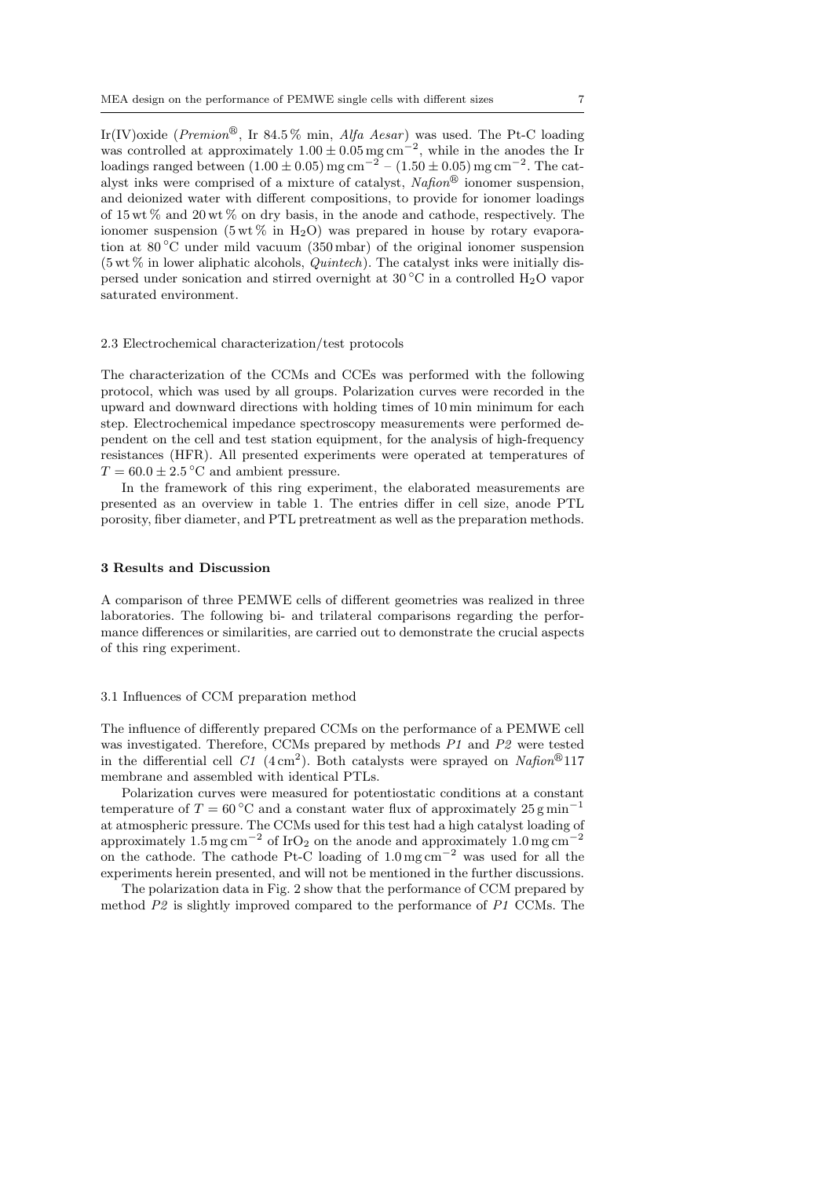Ir(IV)oxide (Premion<sup>®</sup>, Ir 84.5% min, Alfa Aesar) was used. The Pt-C loading was controlled at approximately  $1.00 \pm 0.05$  mg cm<sup>-2</sup>, while in the anodes the Ir loadings ranged between  $(1.00 \pm 0.05)$  mg cm<sup>-2</sup> –  $(1.50 \pm 0.05)$  mg cm<sup>-2</sup>. The catalyst inks were comprised of a mixture of catalyst,  $Nafion^{\circledR}$  ionomer suspension, and deionized water with different compositions, to provide for ionomer loadings of  $15 \text{ wt } \%$  and  $20 \text{ wt } \%$  on dry basis, in the anode and cathode, respectively. The ionomer suspension (5 wt  $\%$  in H<sub>2</sub>O) was prepared in house by rotary evaporation at 80 ◦C under mild vacuum (350 mbar) of the original ionomer suspension  $(5 \text{ wt } %$  in lower aliphatic alcohols, *Quintech*). The catalyst inks were initially dispersed under sonication and stirred overnight at  $30\degree\text{C}$  in a controlled H<sub>2</sub>O vapor saturated environment.

#### 2.3 Electrochemical characterization/test protocols

The characterization of the CCMs and CCEs was performed with the following protocol, which was used by all groups. Polarization curves were recorded in the upward and downward directions with holding times of 10 min minimum for each step. Electrochemical impedance spectroscopy measurements were performed dependent on the cell and test station equipment, for the analysis of high-frequency resistances (HFR). All presented experiments were operated at temperatures of  $T = 60.0 \pm 2.5^{\circ}$ C and ambient pressure.

In the framework of this ring experiment, the elaborated measurements are presented as an overview in table 1. The entries differ in cell size, anode PTL porosity, fiber diameter, and PTL pretreatment as well as the preparation methods.

#### 3 Results and Discussion

A comparison of three PEMWE cells of different geometries was realized in three laboratories. The following bi- and trilateral comparisons regarding the performance differences or similarities, are carried out to demonstrate the crucial aspects of this ring experiment.

#### 3.1 Influences of CCM preparation method

The influence of differently prepared CCMs on the performance of a PEMWE cell was investigated. Therefore, CCMs prepared by methods P1 and P2 were tested in the differential cell  $C1$  (4 cm<sup>2</sup>). Both catalysts were sprayed on Nafton<sup>®</sup>117 membrane and assembled with identical PTLs.

Polarization curves were measured for potentiostatic conditions at a constant temperature of  $T = 60$  °C and a constant water flux of approximately 25 g min<sup>-1</sup> at atmospheric pressure. The CCMs used for this test had a high catalyst loading of approximately 1.5 mg cm<sup>-2</sup> of IrO<sub>2</sub> on the anode and approximately 1.0 mg cm<sup>-2</sup> on the cathode. The cathode Pt-C loading of  $1.0 \,\mathrm{mg\,cm}^{-2}$  was used for all the experiments herein presented, and will not be mentioned in the further discussions.

The polarization data in Fig. 2 show that the performance of CCM prepared by method  $P2$  is slightly improved compared to the performance of P1 CCMs. The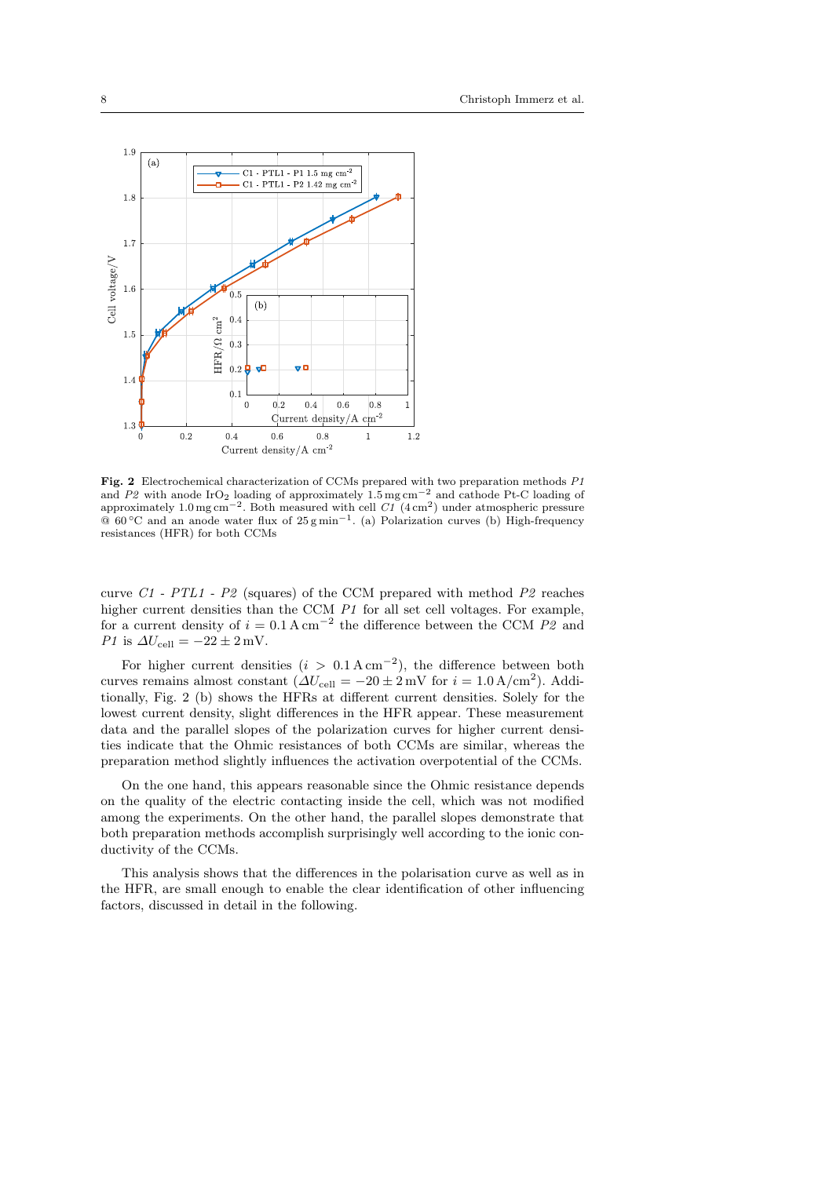

Fig. 2 Electrochemical characterization of CCMs prepared with two preparation methods P1 and P2 with anode IrO<sub>2</sub> loading of approximately  $1.5 \text{ mg cm}^{-2}$  and cathode Pt-C loading of approximately 1.0 mg cm<sup>-2</sup>. Both measured with cell  $CI(4 \text{ cm}^2)$  under atmospheric pressure @ 60 ◦C and an anode water flux of 25 g min−<sup>1</sup> . (a) Polarization curves (b) High-frequency resistances (HFR) for both CCMs

curve  $C1$  -  $PTL1$  -  $P2$  (squares) of the CCM prepared with method  $P2$  reaches higher current densities than the CCM P1 for all set cell voltages. For example, for a current density of  $i = 0.1 \text{ A cm}^{-2}$  the difference between the CCM P2 and P1 is  $\Delta U_{\text{cell}} = -22 \pm 2 \,\text{mV}$ .

For higher current densities  $(i > 0.1 \text{ A cm}^{-2})$ , the difference between both curves remains almost constant  $(\Delta U_{cell} = -20 \pm 2 \,\text{mV}$  for  $i = 1.0 \,\text{A/cm}^2$ ). Additionally, Fig. 2 (b) shows the HFRs at different current densities. Solely for the lowest current density, slight differences in the HFR appear. These measurement data and the parallel slopes of the polarization curves for higher current densities indicate that the Ohmic resistances of both CCMs are similar, whereas the preparation method slightly influences the activation overpotential of the CCMs.

On the one hand, this appears reasonable since the Ohmic resistance depends on the quality of the electric contacting inside the cell, which was not modified among the experiments. On the other hand, the parallel slopes demonstrate that both preparation methods accomplish surprisingly well according to the ionic conductivity of the CCMs.

This analysis shows that the differences in the polarisation curve as well as in the HFR, are small enough to enable the clear identification of other influencing factors, discussed in detail in the following.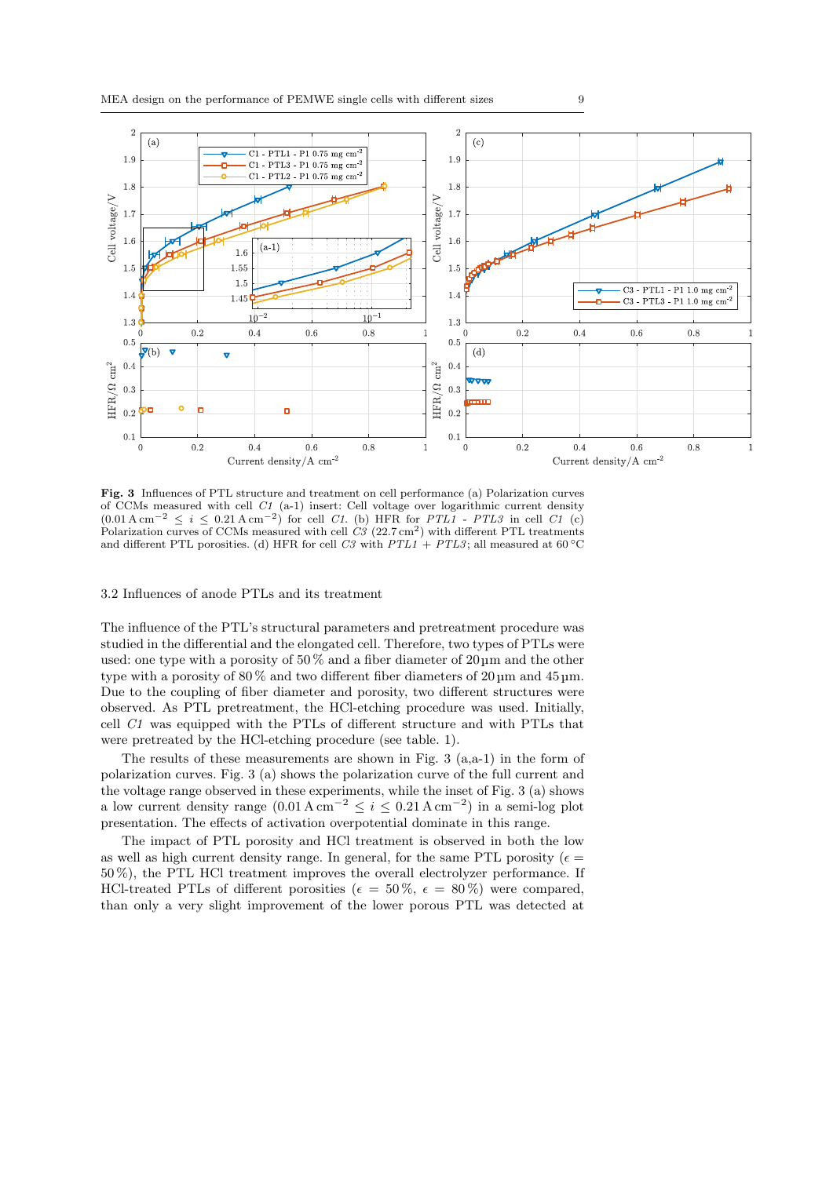

Fig. 3 Influences of PTL structure and treatment on cell performance (a) Polarization curves of CCMs measured with cell C1 (a-1) insert: Cell voltage over logarithmic current density  $(0.01 \text{ A cm}^{-2} \leq i \leq 0.21 \text{ A cm}^{-2})$  for cell C1. (b) HFR for PTL1 - PTL3 in cell C1 (c) Polarization curves of CCMs measured with cell  $C_3$  (22.7 cm<sup>2</sup>) with different PTL treatments and different PTL porosities. (d) HFR for cell C3 with  $PTL1 + PTL3$ ; all measured at 60 °C

## 3.2 Influences of anode PTLs and its treatment

The influence of the PTL's structural parameters and pretreatment procedure was studied in the differential and the elongated cell. Therefore, two types of PTLs were used: one type with a porosity of 50 % and a fiber diameter of 20 µm and the other type with a porosity of 80 % and two different fiber diameters of 20 µm and 45 µm. Due to the coupling of fiber diameter and porosity, two different structures were observed. As PTL pretreatment, the HCl-etching procedure was used. Initially, cell C1 was equipped with the PTLs of different structure and with PTLs that were pretreated by the HCl-etching procedure (see table. 1).

The results of these measurements are shown in Fig.  $3$  (a,a-1) in the form of polarization curves. Fig. 3 (a) shows the polarization curve of the full current and the voltage range observed in these experiments, while the inset of Fig. 3 (a) shows a low current density range  $(0.01 \text{ A cm}^{-2} \le i \le 0.21 \text{ A cm}^{-2})$  in a semi-log plot presentation. The effects of activation overpotential dominate in this range.

The impact of PTL porosity and HCl treatment is observed in both the low as well as high current density range. In general, for the same PTL porosity ( $\epsilon =$ 50 %), the PTL HCl treatment improves the overall electrolyzer performance. If HCl-treated PTLs of different porosities ( $\epsilon = 50\%$ ,  $\epsilon = 80\%$ ) were compared, than only a very slight improvement of the lower porous PTL was detected at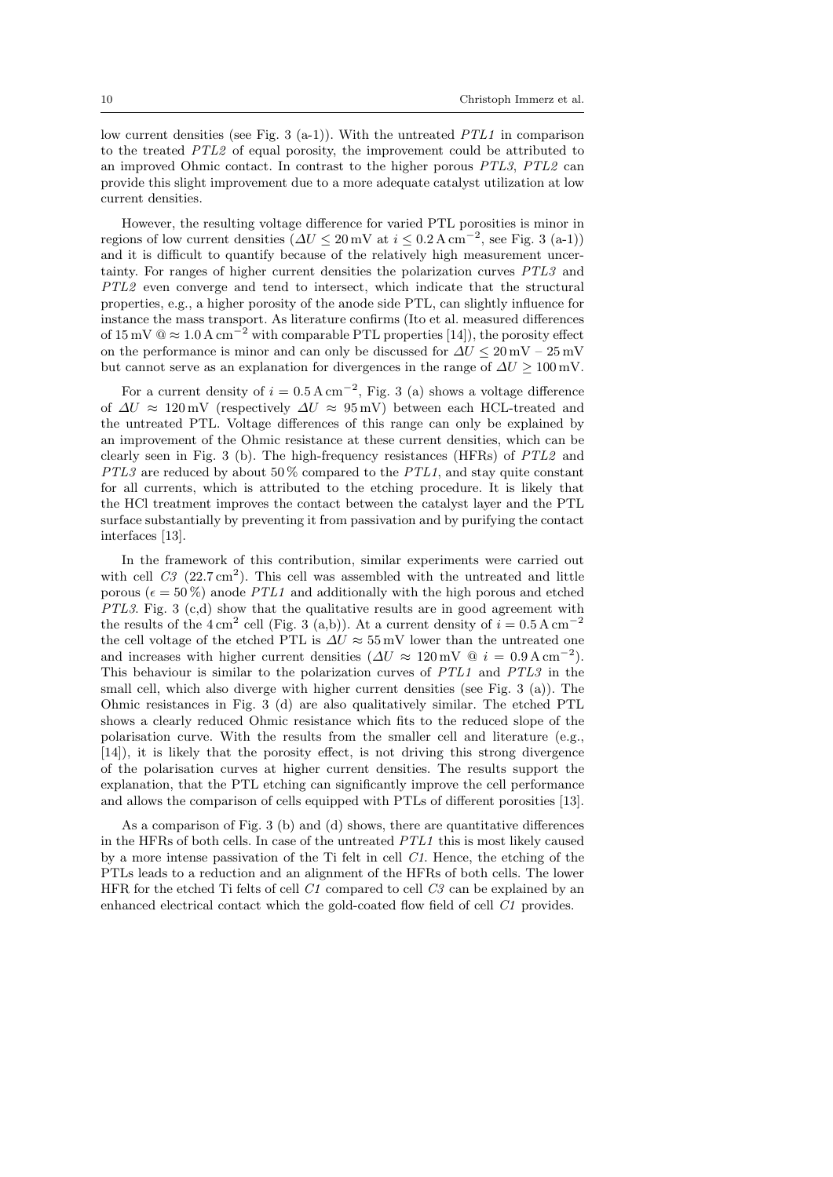low current densities (see Fig. 3 (a-1)). With the untreated  $PTL1$  in comparison to the treated PTL2 of equal porosity, the improvement could be attributed to an improved Ohmic contact. In contrast to the higher porous PTL3, PTL2 can provide this slight improvement due to a more adequate catalyst utilization at low current densities.

However, the resulting voltage difference for varied PTL porosities is minor in regions of low current densities  $(\Delta U \leq 20 \,\text{mV} \text{ at } i \leq 0.2 \,\text{A cm}^{-2}, \text{ see Fig. 3 (a-1)})$ and it is difficult to quantify because of the relatively high measurement uncertainty. For ranges of higher current densities the polarization curves PTL3 and PTL2 even converge and tend to intersect, which indicate that the structural properties, e.g., a higher porosity of the anode side PTL, can slightly influence for instance the mass transport. As literature confirms (Ito et al. measured differences of  $15 \text{ mV} \text{ @} \approx 1.0 \text{ A cm}^{-2}$  with comparable PTL properties [14]), the porosity effect on the performance is minor and can only be discussed for  $\Delta U \leq 20$  mV – 25 mV but cannot serve as an explanation for divergences in the range of  $\Delta U \ge 100 \,\text{mV}$ .

For a current density of  $i = 0.5 \text{ A cm}^{-2}$ , Fig. 3 (a) shows a voltage difference of  $\Delta U \approx 120 \,\text{mV}$  (respectively  $\Delta U \approx 95 \,\text{mV}$ ) between each HCL-treated and the untreated PTL. Voltage differences of this range can only be explained by an improvement of the Ohmic resistance at these current densities, which can be clearly seen in Fig. 3 (b). The high-frequency resistances (HFRs) of PTL2 and PTL3 are reduced by about 50% compared to the PTL1, and stay quite constant for all currents, which is attributed to the etching procedure. It is likely that the HCl treatment improves the contact between the catalyst layer and the PTL surface substantially by preventing it from passivation and by purifying the contact interfaces [13].

In the framework of this contribution, similar experiments were carried out with cell  $C_3$  (22.7 cm<sup>2</sup>). This cell was assembled with the untreated and little porous ( $\epsilon = 50\%$ ) anode *PTL1* and additionally with the high porous and etched PTL3. Fig. 3 (c,d) show that the qualitative results are in good agreement with the results of the  $4 \text{ cm}^2$  cell (Fig. 3 (a,b)). At a current density of  $i = 0.5 \text{ A cm}^{-2}$ the cell voltage of the etched PTL is  $\Delta U \approx 55$  mV lower than the untreated one and increases with higher current densities  $(\Delta U \approx 120 \,\text{mV} \otimes i = 0.9 \,\text{A cm}^{-2})$ . This behaviour is similar to the polarization curves of PTL1 and PTL3 in the small cell, which also diverge with higher current densities (see Fig. 3 (a)). The Ohmic resistances in Fig. 3 (d) are also qualitatively similar. The etched PTL shows a clearly reduced Ohmic resistance which fits to the reduced slope of the polarisation curve. With the results from the smaller cell and literature (e.g., [14]), it is likely that the porosity effect, is not driving this strong divergence of the polarisation curves at higher current densities. The results support the explanation, that the PTL etching can significantly improve the cell performance and allows the comparison of cells equipped with PTLs of different porosities [13].

As a comparison of Fig. 3 (b) and (d) shows, there are quantitative differences in the HFRs of both cells. In case of the untreated PTL1 this is most likely caused by a more intense passivation of the Ti felt in cell C1. Hence, the etching of the PTLs leads to a reduction and an alignment of the HFRs of both cells. The lower HFR for the etched Ti felts of cell  $C1$  compared to cell  $C3$  can be explained by an enhanced electrical contact which the gold-coated flow field of cell C1 provides.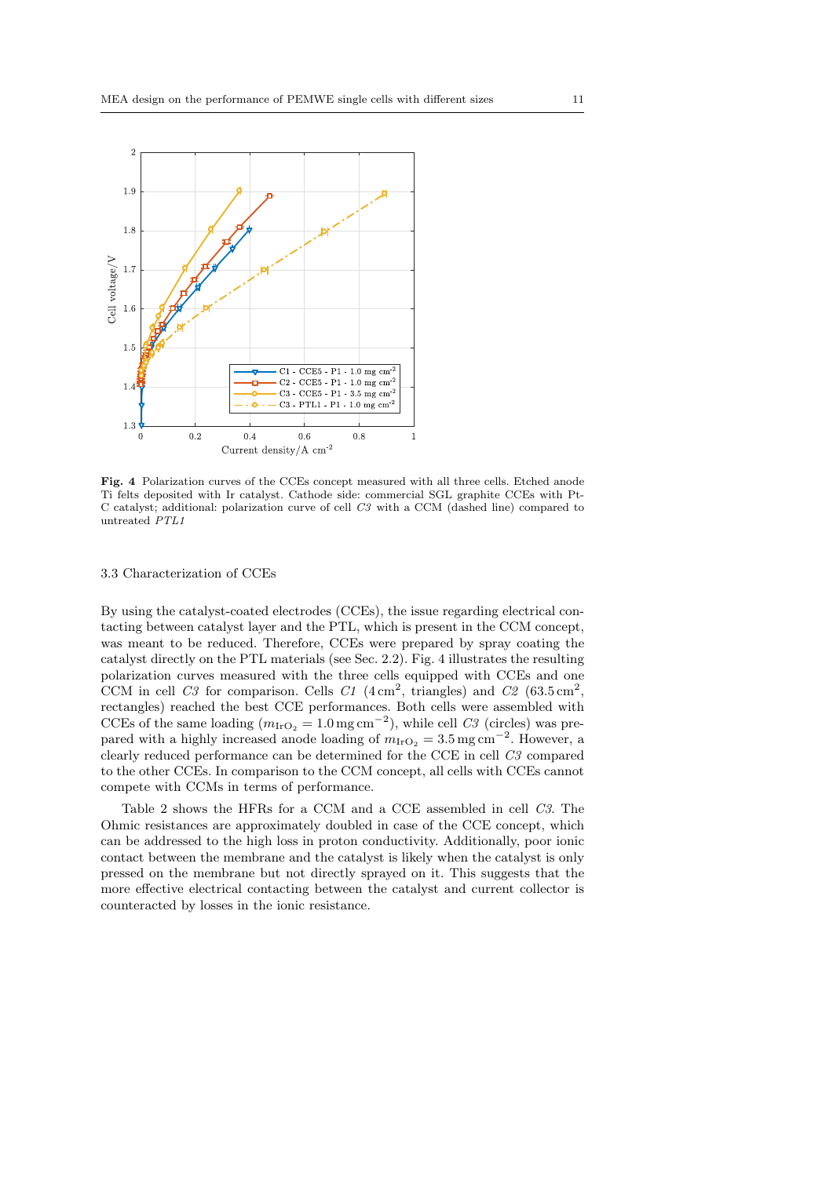

Fig. 4 Polarization curves of the CCEs concept measured with all three cells. Etched anode Ti felts deposited with Ir catalyst. Cathode side: commercial SGL graphite CCEs with Pt-C catalyst; additional: polarization curve of cell C3 with a CCM (dashed line) compared to untreated PTL1

## 3.3 Characterization of CCEs

By using the catalyst-coated electrodes (CCEs), the issue regarding electrical contacting between catalyst layer and the PTL, which is present in the CCM concept, was meant to be reduced. Therefore, CCEs were prepared by spray coating the catalyst directly on the PTL materials (see Sec. 2.2). Fig. 4 illustrates the resulting polarization curves measured with the three cells equipped with CCEs and one CCM in cell C3 for comparison. Cells C1  $(4 \text{ cm}^2, \text{ triangles})$  and C2  $(63.5 \text{ cm}^2, \text{ inches})$ rectangles) reached the best CCE performances. Both cells were assembled with CCEs of the same loading  $(m_{\text{IrO}_2} = 1.0 \text{ mg cm}^{-2})$ , while cell C3 (circles) was prepared with a highly increased anode loading of  $m_{\text{IrO}_2} = 3.5 \,\text{mg cm}^{-2}$ . However, a clearly reduced performance can be determined for the CCE in cell C3 compared to the other CCEs. In comparison to the CCM concept, all cells with CCEs cannot compete with CCMs in terms of performance.

Table 2 shows the HFRs for a CCM and a CCE assembled in cell C3. The Ohmic resistances are approximately doubled in case of the CCE concept, which can be addressed to the high loss in proton conductivity. Additionally, poor ionic contact between the membrane and the catalyst is likely when the catalyst is only pressed on the membrane but not directly sprayed on it. This suggests that the more effective electrical contacting between the catalyst and current collector is counteracted by losses in the ionic resistance.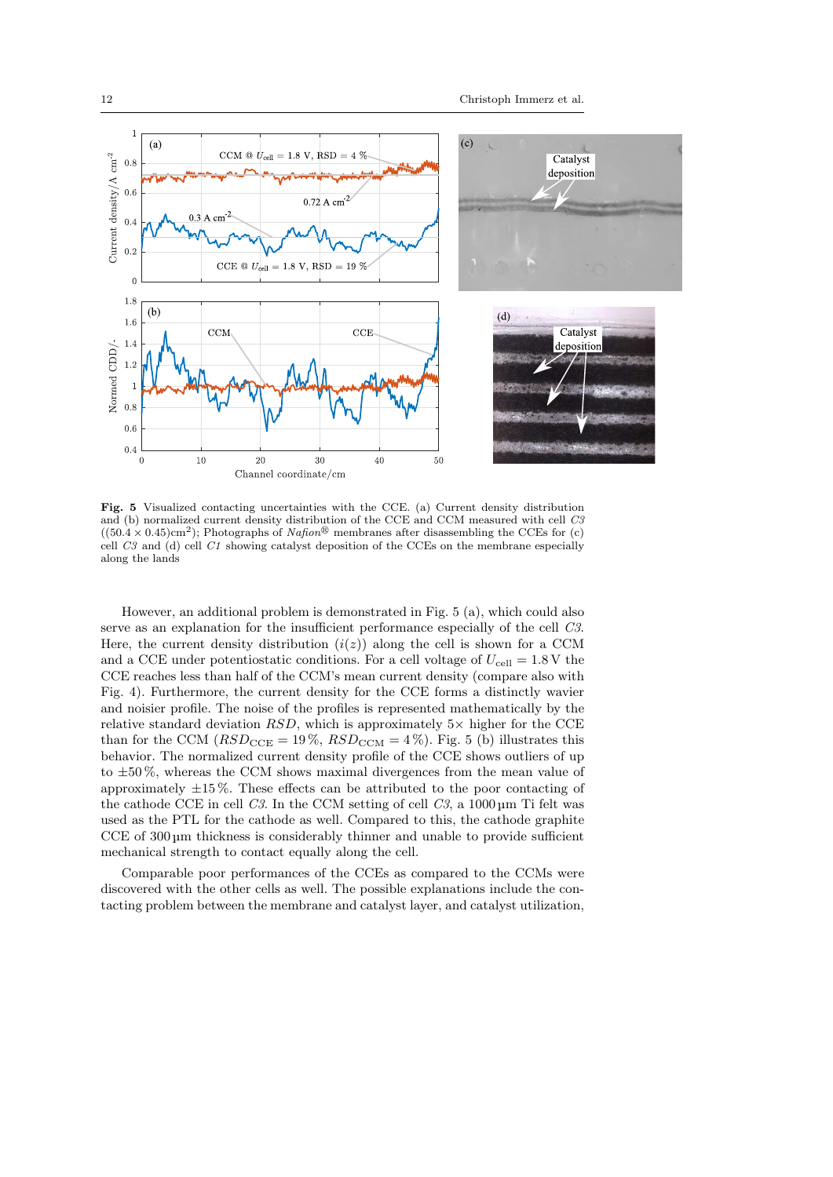

Fig. 5 Visualized contacting uncertainties with the CCE. (a) Current density distribution and (b) normalized current density distribution of the CCE and CCM measured with cell C3  $((50.4 \times 0.45) \text{cm}^2)$ ; Photographs of Nafion<sup>®</sup> membranes after disassembling the CCEs for (c) cell  $C3$  and (d) cell  $C1$  showing catalyst deposition of the CCEs on the membrane especially along the lands

However, an additional problem is demonstrated in Fig. 5 (a), which could also serve as an explanation for the insufficient performance especially of the cell C3. Here, the current density distribution  $(i(z))$  along the cell is shown for a CCM and a CCE under potentiostatic conditions. For a cell voltage of  $U_{\text{cell}} = 1.8 \text{ V}$  the CCE reaches less than half of the CCM's mean current density (compare also with Fig. 4). Furthermore, the current density for the CCE forms a distinctly wavier and noisier profile. The noise of the profiles is represented mathematically by the relative standard deviation  $RSD$ , which is approximately  $5\times$  higher for the CCE than for the CCM ( $RSD_{\text{CCE}} = 19\%$ ,  $RSD_{\text{CCM}} = 4\%$ ). Fig. 5 (b) illustrates this behavior. The normalized current density profile of the CCE shows outliers of up to  $\pm 50\%$ , whereas the CCM shows maximal divergences from the mean value of approximately  $\pm 15\%$ . These effects can be attributed to the poor contacting of the cathode CCE in cell  $C3$ . In the CCM setting of cell  $C3$ , a 1000 um Ti felt was used as the PTL for the cathode as well. Compared to this, the cathode graphite CCE of 300 um thickness is considerably thinner and unable to provide sufficient mechanical strength to contact equally along the cell.

Comparable poor performances of the CCEs as compared to the CCMs were discovered with the other cells as well. The possible explanations include the contacting problem between the membrane and catalyst layer, and catalyst utilization,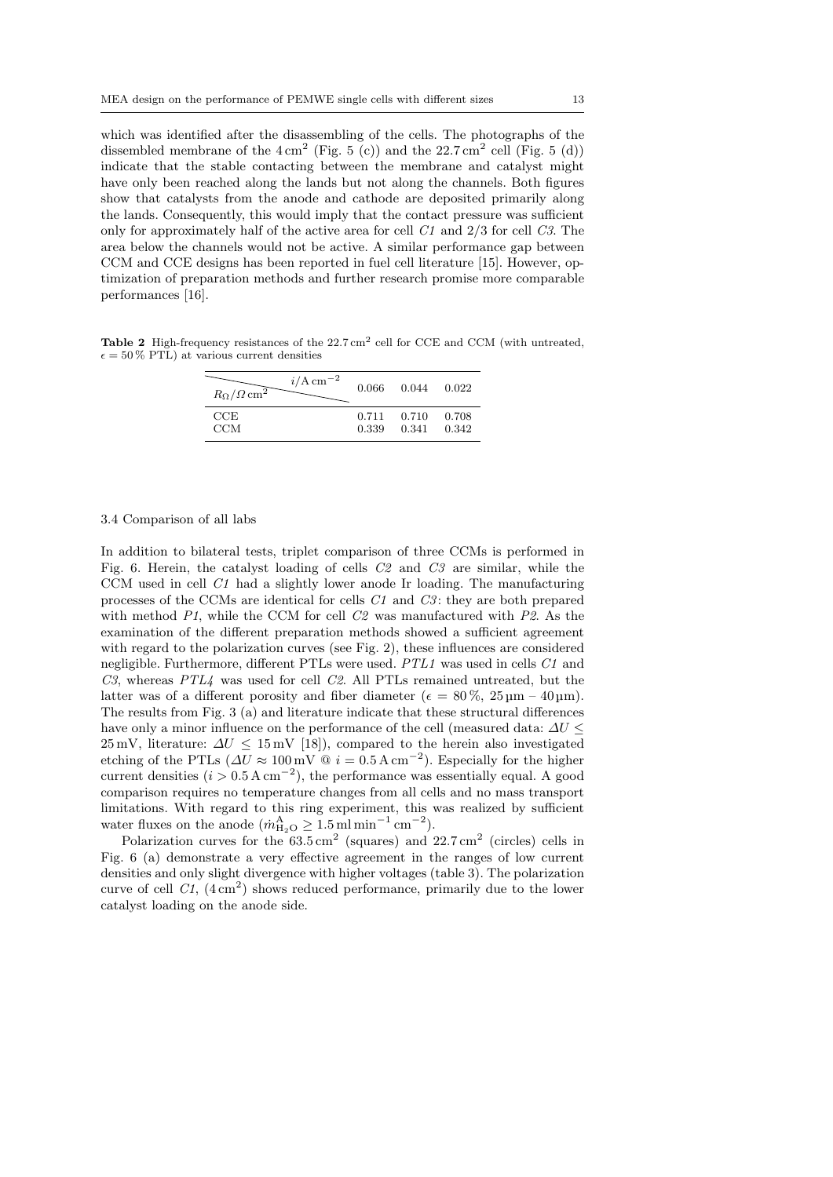which was identified after the disassembling of the cells. The photographs of the dissembled membrane of the  $4 \text{ cm}^2$  (Fig. 5 (c)) and the  $22.7 \text{ cm}^2$  cell (Fig. 5 (d)) indicate that the stable contacting between the membrane and catalyst might have only been reached along the lands but not along the channels. Both figures show that catalysts from the anode and cathode are deposited primarily along the lands. Consequently, this would imply that the contact pressure was sufficient only for approximately half of the active area for cell  $C1$  and  $2/3$  for cell  $C3$ . The area below the channels would not be active. A similar performance gap between CCM and CCE designs has been reported in fuel cell literature [15]. However, optimization of preparation methods and further research promise more comparable performances [16].

**Table 2** High-frequency resistances of the  $22.7 \text{ cm}^2$  cell for CCE and CCM (with untreated,  $\epsilon = 50\%$  PTL) at various current densities

| $i/\mathrm{A\,cm^{-2}}$<br>$R_\Omega/\Omega\,{\rm cm}^2$ | 0.066 | 0.044 0.022 |       |
|----------------------------------------------------------|-------|-------------|-------|
| CCE                                                      | 0.711 | 0.710       | 0.708 |
| <b>CCM</b>                                               | 0.339 | 0.341       | 0.342 |

#### 3.4 Comparison of all labs

In addition to bilateral tests, triplet comparison of three CCMs is performed in Fig. 6. Herein, the catalyst loading of cells C2 and C3 are similar, while the CCM used in cell C1 had a slightly lower anode Ir loading. The manufacturing processes of the CCMs are identical for cells C1 and C3 : they are both prepared with method  $PI$ , while the CCM for cell  $C2$  was manufactured with  $P2$ . As the examination of the different preparation methods showed a sufficient agreement with regard to the polarization curves (see Fig. 2), these influences are considered negligible. Furthermore, different PTLs were used. PTL1 was used in cells C1 and  $C3$ , whereas  $PTL4$  was used for cell  $C2$ . All PTLs remained untreated, but the latter was of a different porosity and fiber diameter ( $\epsilon = 80\%$ ,  $25 \,\mathrm{\upmu m} - 40 \,\mathrm{\upmu m}$ ). The results from Fig. 3 (a) and literature indicate that these structural differences have only a minor influence on the performance of the cell (measured data:  $\Delta U$  <  $25 \text{ mV}$ , literature:  $\Delta U \leq 15 \text{ mV}$  [18]), compared to the herein also investigated etching of the PTLs ( $\Delta U \approx 100 \,\text{mV} \quad \textcircled{a} i = 0.5 \,\text{A cm}^{-2}$ ). Especially for the higher current densities  $(i > 0.5 \text{ A cm}^{-2})$ , the performance was essentially equal. A good comparison requires no temperature changes from all cells and no mass transport limitations. With regard to this ring experiment, this was realized by sufficient water fluxes on the anode  $(m_{\text{H}_2O}^A \ge 1.5 \,\text{ml} \,\text{min}^{-1} \,\text{cm}^{-2}).$ 

Polarization curves for the  $63.5 \text{ cm}^2$  (squares) and  $22.7 \text{ cm}^2$  (circles) cells in Fig. 6 (a) demonstrate a very effective agreement in the ranges of low current densities and only slight divergence with higher voltages (table 3). The polarization curve of cell  $C1$ ,  $(4 \text{ cm}^2)$  shows reduced performance, primarily due to the lower catalyst loading on the anode side.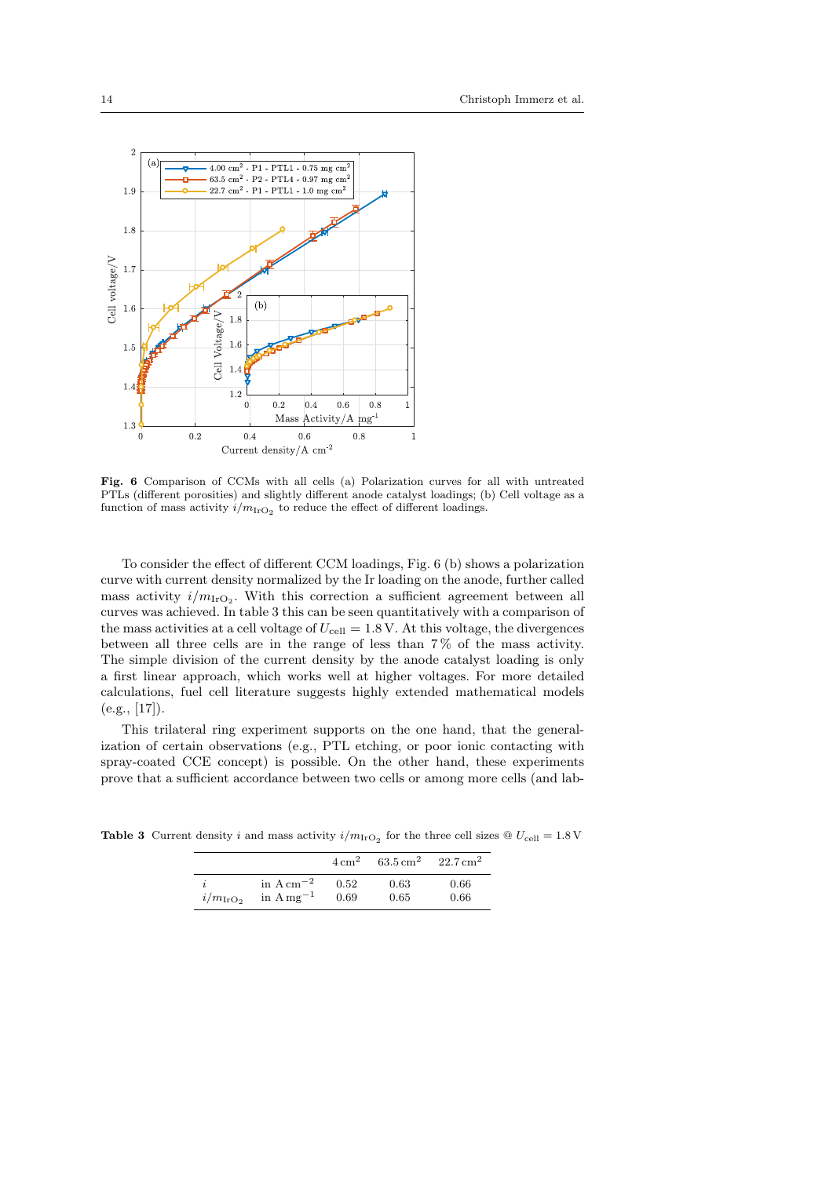

Fig. 6 Comparison of CCMs with all cells (a) Polarization curves for all with untreated PTLs (different porosities) and slightly different anode catalyst loadings; (b) Cell voltage as a function of mass activity  $i/m_{\text{IrO}_2}$  to reduce the effect of different loadings.

To consider the effect of different CCM loadings, Fig. 6 (b) shows a polarization curve with current density normalized by the Ir loading on the anode, further called mass activity  $i/m_{\text{IrO}_2}$ . With this correction a sufficient agreement between all curves was achieved. In table 3 this can be seen quantitatively with a comparison of the mass activities at a cell voltage of  $U_{\text{cell}} = 1.8 \text{ V}$ . At this voltage, the divergences between all three cells are in the range of less than 7 % of the mass activity. The simple division of the current density by the anode catalyst loading is only a first linear approach, which works well at higher voltages. For more detailed calculations, fuel cell literature suggests highly extended mathematical models  $(e.g., [17]).$ 

This trilateral ring experiment supports on the one hand, that the generalization of certain observations (e.g., PTL etching, or poor ionic contacting with spray-coated CCE concept) is possible. On the other hand, these experiments prove that a sufficient accordance between two cells or among more cells (and lab-

**Table 3** Current density *i* and mass activity  $i/m_{\text{IrO}_2}$  for the three cell sizes  $\textcircled{U}_{\text{cell}} = 1.8 \text{ V}$ 

|                   |                                    |      | $4 \text{ cm}^2$ 63.5 cm <sup>2</sup> 22.7 cm <sup>2</sup> |      |
|-------------------|------------------------------------|------|------------------------------------------------------------|------|
| $i/m_{\rm IrO_2}$ | in A cm <sup><math>-2</math></sup> | 0.52 | 0.63                                                       | 0.66 |
|                   | in A mg <sup><math>-1</math></sup> | 0.69 | 0.65                                                       | 0.66 |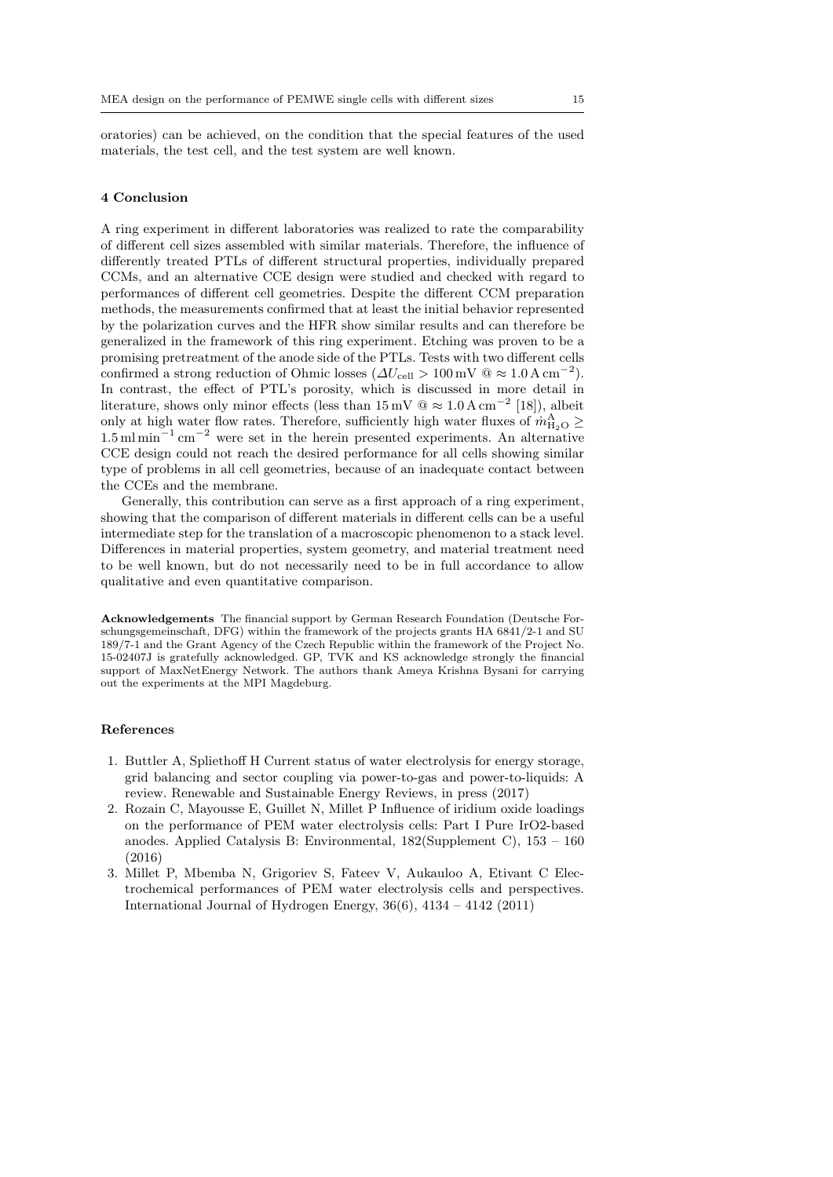oratories) can be achieved, on the condition that the special features of the used materials, the test cell, and the test system are well known.

#### 4 Conclusion

A ring experiment in different laboratories was realized to rate the comparability of different cell sizes assembled with similar materials. Therefore, the influence of differently treated PTLs of different structural properties, individually prepared CCMs, and an alternative CCE design were studied and checked with regard to performances of different cell geometries. Despite the different CCM preparation methods, the measurements confirmed that at least the initial behavior represented by the polarization curves and the HFR show similar results and can therefore be generalized in the framework of this ring experiment. Etching was proven to be a promising pretreatment of the anode side of the PTLs. Tests with two different cells confirmed a strong reduction of Ohmic losses ( $\Delta U_{\text{cell}} > 100 \,\text{mV} \text{ @} \approx 1.0 \,\text{A cm}^{-2}$ ). In contrast, the effect of PTL's porosity, which is discussed in more detail in literature, shows only minor effects (less than  $15 \,\mathrm{mV} \otimes \approx 1.0 \,\mathrm{A \, cm}^{-2}$  [18]), albeit only at high water flow rates. Therefore, sufficiently high water fluxes of  $\dot{m}_{\text{H}_2\text{O}}^{\text{A}} \geq$ 1.5 ml min<sup>−</sup><sup>1</sup> cm<sup>−</sup><sup>2</sup> were set in the herein presented experiments. An alternative CCE design could not reach the desired performance for all cells showing similar type of problems in all cell geometries, because of an inadequate contact between the CCEs and the membrane.

Generally, this contribution can serve as a first approach of a ring experiment, showing that the comparison of different materials in different cells can be a useful intermediate step for the translation of a macroscopic phenomenon to a stack level. Differences in material properties, system geometry, and material treatment need to be well known, but do not necessarily need to be in full accordance to allow qualitative and even quantitative comparison.

Acknowledgements The financial support by German Research Foundation (Deutsche Forschungsgemeinschaft, DFG) within the framework of the projects grants HA 6841/2-1 and SU 189/7-1 and the Grant Agency of the Czech Republic within the framework of the Project No. 15-02407J is gratefully acknowledged. GP, TVK and KS acknowledge strongly the financial support of MaxNetEnergy Network. The authors thank Ameya Krishna Bysani for carrying out the experiments at the MPI Magdeburg.

### References

- 1. Buttler A, Spliethoff H Current status of water electrolysis for energy storage, grid balancing and sector coupling via power-to-gas and power-to-liquids: A review. Renewable and Sustainable Energy Reviews, in press (2017)
- 2. Rozain C, Mayousse E, Guillet N, Millet P Influence of iridium oxide loadings on the performance of PEM water electrolysis cells: Part I Pure IrO2-based anodes. Applied Catalysis B: Environmental, 182(Supplement C), 153 – 160 (2016)
- 3. Millet P, Mbemba N, Grigoriev S, Fateev V, Aukauloo A, Etivant C Electrochemical performances of PEM water electrolysis cells and perspectives. International Journal of Hydrogen Energy,  $36(6)$ ,  $4134 - 4142$  (2011)